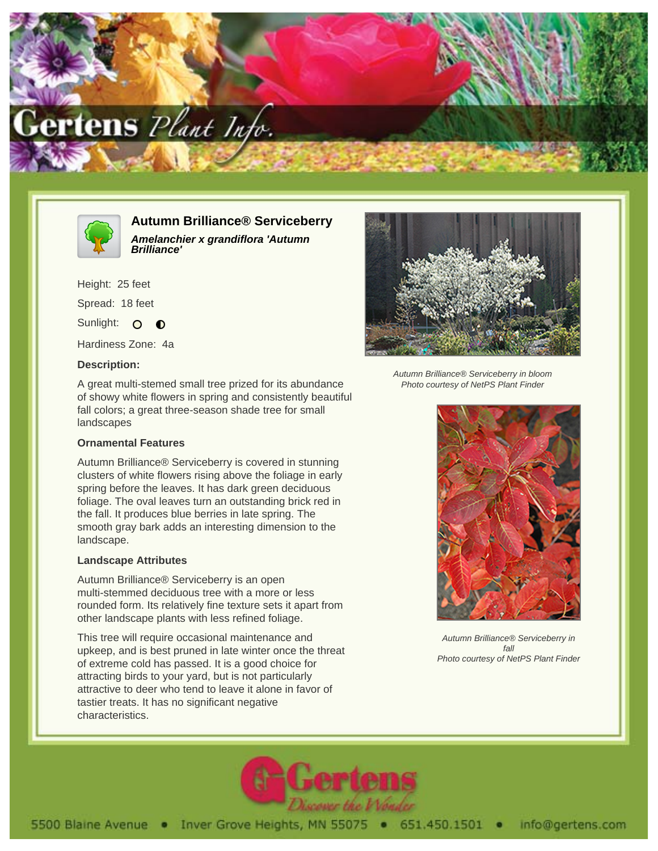



**Autumn Brilliance® Serviceberry Amelanchier x grandiflora 'Autumn Brilliance'**

Height: 25 feet Spread: 18 feet Sunlight: O  $\bullet$ 

Hardiness Zone: 4a

## **Description:**

A great multi-stemed small tree prized for its abundance of showy white flowers in spring and consistently beautiful fall colors; a great three-season shade tree for small landscapes

## **Ornamental Features**

Autumn Brilliance® Serviceberry is covered in stunning clusters of white flowers rising above the foliage in early spring before the leaves. It has dark green deciduous foliage. The oval leaves turn an outstanding brick red in the fall. It produces blue berries in late spring. The smooth gray bark adds an interesting dimension to the landscape.

## **Landscape Attributes**

Autumn Brilliance® Serviceberry is an open multi-stemmed deciduous tree with a more or less rounded form. Its relatively fine texture sets it apart from other landscape plants with less refined foliage.

This tree will require occasional maintenance and upkeep, and is best pruned in late winter once the threat of extreme cold has passed. It is a good choice for attracting birds to your yard, but is not particularly attractive to deer who tend to leave it alone in favor of tastier treats. It has no significant negative characteristics.



Autumn Brilliance® Serviceberry in bloom Photo courtesy of NetPS Plant Finder



Autumn Brilliance® Serviceberry in fall Photo courtesy of NetPS Plant Finder